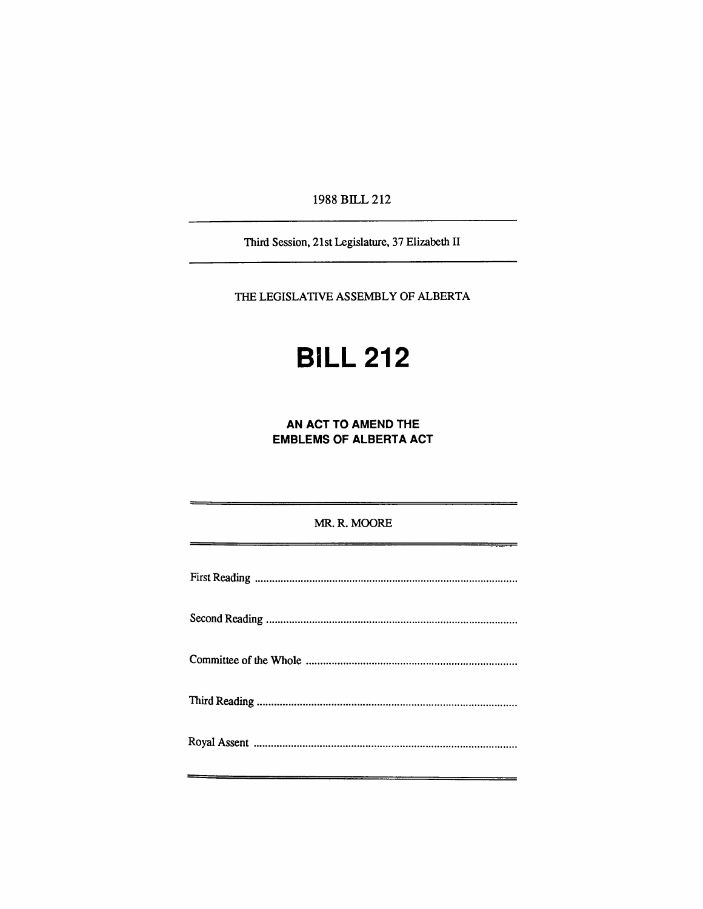1988 BILL 212

Third Session, 21st Legislature, 37 Elizabeth II

THE LEGISLATIVE ASSEMBLY OF ALBERTA

# **BILL 212**

**AN ACT TO AMEND THE EMBLEMS OF ALBERTA ACT** 

MR. R. MOORE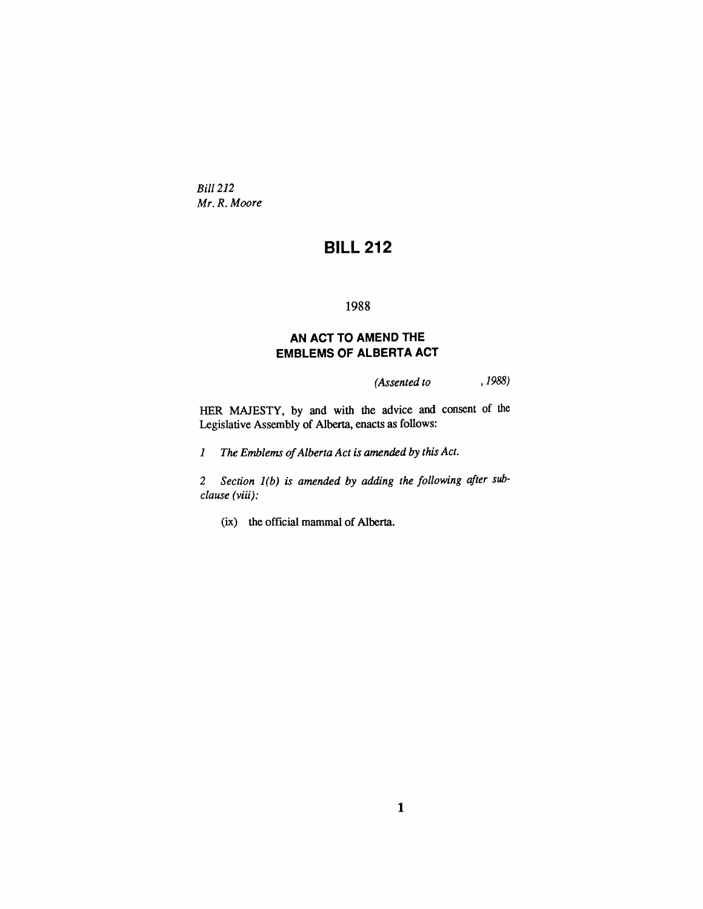*Bill 212 Mr. R. Moore* 

## **BILL 212**

#### 1988

#### **AN ACT TO AMEND THE EMBLEMS OF ALBERTA ACT**

*(Assented to ,1988)* 

HER MAJESTY, by and with the advice and consent of the Legislative Assembly of Alberta, enacts as follows:

7 *The Emblems of Alberta Act is amended by this Act.* 

*2 Section 1(b) is amended by adding the following after subclause (viii):* 

(ix) the official mammal of Alberta.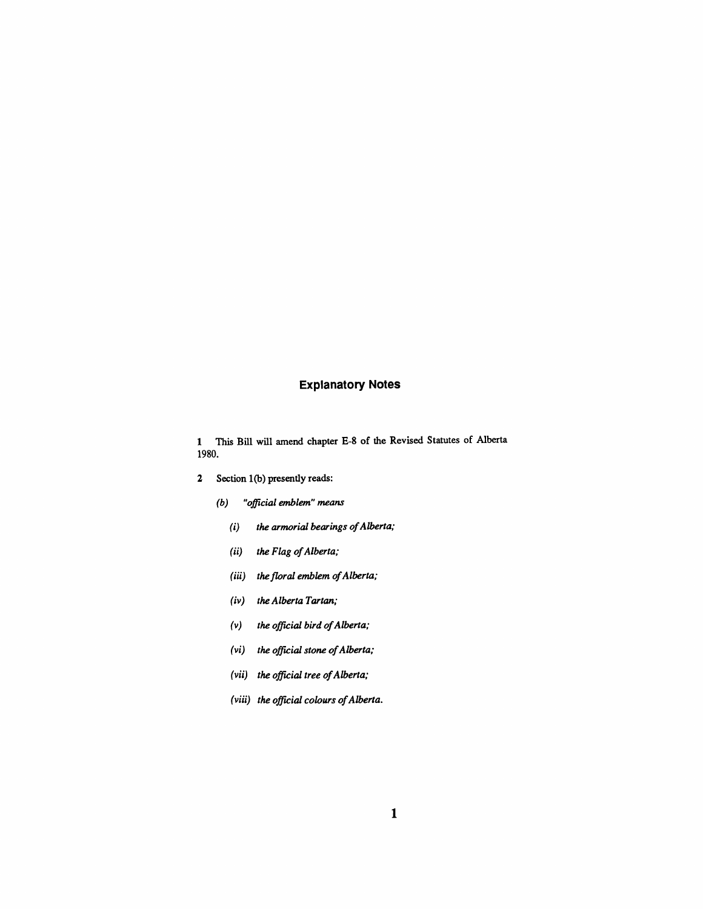#### **Explanatory Notes**

1 This Bill will amend chapter E-8 of die Revised Statutes of Alberta 1980.

- 2 Section 1(b) presendy reads:
	- *(b) "official emblem" means* 
		- *(i) the armorial bearings of Alberta;*
		- *(ii) the Flag of Alberta;*
		- *(iii) the floral emblem of Alberta;*
		- *(iv) the Alberta Tartan;*
		- *(v) the official bird of Alberta;*
		- *(vi) the official stone of Alberta;*
		- *(vii) the official tree of Alberta;*
		- *(viii) the official colours of Alberta.*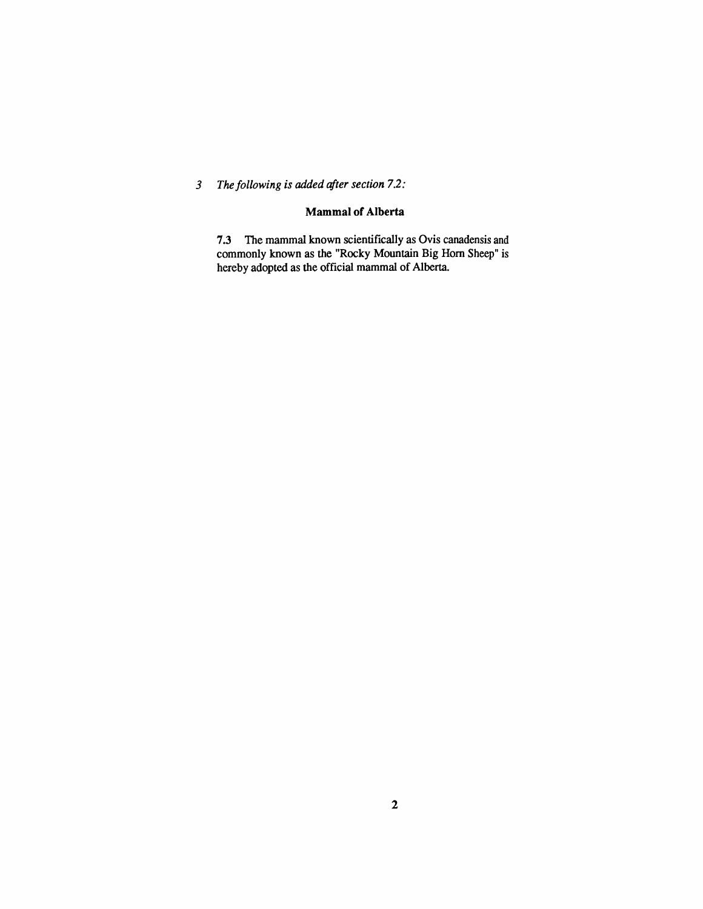### 3 The following is added after section 7.2:

#### **Mammal of Alberta**

7.3 The mammal known scientifically as Ovis canadensis and commonly known as the "Rocky Mountain Big Hom Sheep" is hereby adopted as the official mammal of Alberta.